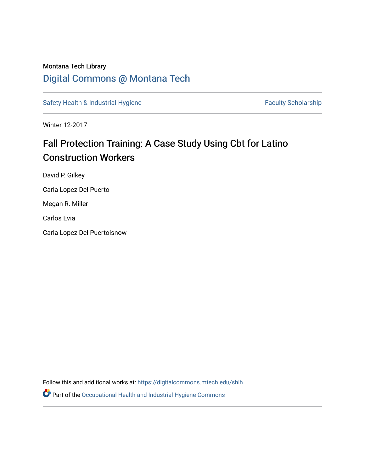### Montana Tech Library [Digital Commons @ Montana Tech](https://digitalcommons.mtech.edu/)

[Safety Health & Industrial Hygiene](https://digitalcommons.mtech.edu/shih) [Faculty Scholarship](https://digitalcommons.mtech.edu/fac_schr) Faculty Scholarship

Winter 12-2017

## Fall Protection Training: A Case Study Using Cbt for Latino Construction Workers

David P. Gilkey

Carla Lopez Del Puerto

Megan R. Miller

Carlos Evia

Carla Lopez Del Puertoisnow

Follow this and additional works at: [https://digitalcommons.mtech.edu/shih](https://digitalcommons.mtech.edu/shih?utm_source=digitalcommons.mtech.edu%2Fshih%2F34&utm_medium=PDF&utm_campaign=PDFCoverPages) 

Part of the [Occupational Health and Industrial Hygiene Commons](http://network.bepress.com/hgg/discipline/742?utm_source=digitalcommons.mtech.edu%2Fshih%2F34&utm_medium=PDF&utm_campaign=PDFCoverPages)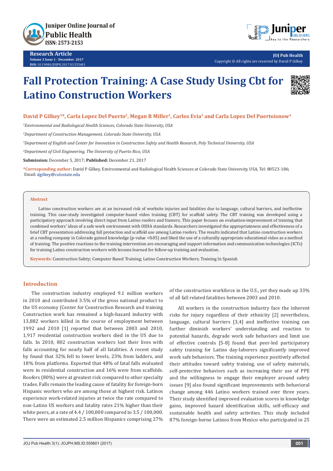

**Research Article Volume 3 Issue 1 - December 2017 DOI:** [10.19080/JOJPH.2017.03.555](http://dx.doi.org/10.19080/JOJPH.2017.03.555601)601



**JOJ Pub Health** Copyright © All rights are reserved by David P Gilkey

# **Fall Protection Training: A Case Study Using Cbt for Latino Construction Workers**



#### David P Gilkey<sup>1\*</sup>, Carla Lopez Del Puerto<sup>2</sup>, Megan R Miller<sup>2</sup>, Carlos Evia<sup>3</sup> and Carla Lopez Del Puertoisnow<sup>4</sup>

*1 Environmental and Radiological Health Sciences, Colorado State University, USA*

*2 Department of Construction Management, Colorado State University, USA*

*3 Department of English and Center for Innovation in Construction Safety and Health Research, Poly Technical University, USA* 

*4 Department of Civil Engineering, The University of Puerto Rico, USA*

**Submission:** December 5, 2017; **Published:** December 21, 2017

**\*Corresponding author:** David P Gilkey, Environmental and Radiological Health Sciences at Colorado State University, USA, Tel: 80523-186; Email: dgilkey@colostate.edu

#### **Abstract**

Latino construction workers are at an increased risk of worksite injuries and fatalities due to language, cultural barriers, and ineffective training. This case-study investigated computer-based video training (CBT) for scaffold safety. The CBT training was developed using a participatory approach involving direct input from Latino roofers and framers. This paper focuses on evaluation-improvement of training that combined workers' ideas of a safe work environment with OSHA standards. Researchers investigated the appropriateness and effectiveness of a brief CBT presentation addressing fall protection and scaffold use among Latino roofers. The results indicated that Latino construction workers at a roofing company in Colorado gained knowledge (p-value <0.05) and liked the use of a culturally appropriate educational video as a method of training. The positive reactions to the training intervention are encouraging and support information and communication technologies (ICTs) for training Latino construction workers with lessons learned for follow-up training and evaluation.

**Keywords:** Construction Safety; Computer Based Training; Latino Construction Workers; Training In Spanish

#### **Introduction**

The construction industry employed 9.1 million workers in 2010 and contributed 3.5% of the gross national product to the US economy (Center for Construction Research and training Construction work has remained a high-hazard industry with 13,882 workers killed in the course of employment between 1992 and 2010 [1] reported that between 2003 and 2010, 1,917 residential construction workers died in the US due to falls. In 2010, 802 construction workers lost their lives with falls accounting for nearly half of all fatalities. A recent study by found that 32% fell to lower levels, 23% from ladders, and 18% from platforms. Exported that 48% of fatal falls evaluated were in residential construction and 16% were from scaffolds. Roofers (80%) were at greatest risk compared to other specialty trades. Falls remain the leading cause of fatality for foreign-born Hispanic workers who are among those at highest risk. Latinos experience work-related injuries at twice the rate compared to non-Latino US workers and fatality rates 21% higher than their white peers, at a rate of 4.4 / 100,000 compared to 3.5 / 100,000. There were an estimated 2.5 million Hispanics comprising 27% of the construction workforce in the U.S., yet they made up 33% of all fall related fatalities between 2003 and 2010.

All workers in the construction industry face the inherent risks for injury regardless of their ethnicity [2] nevertheless, language, cultural barriers [3,4] and ineffective training can further diminish workers' understanding and reaction to potential hazards, degrade work safe behaviors and limit use of effective controls [5-8] found that peer-led participatory safety training for Latino day-laborers significantly improved work safe behaviors. The training experience positively affected their attitudes toward safety training, use of safety materials, self-protective behaviors such as increasing their use of PPE and the willingness to engage their employer around safety issues [9] also found significant improvements with behavioral change among 446 Latino workers trained over three years. Their study identified improved evaluation scores in knowledge gains, improved hazard identification skills, self-efficacy and sustainable health and safety activities. This study included 87% foreign-borne Latinos from Mexico who participated in 25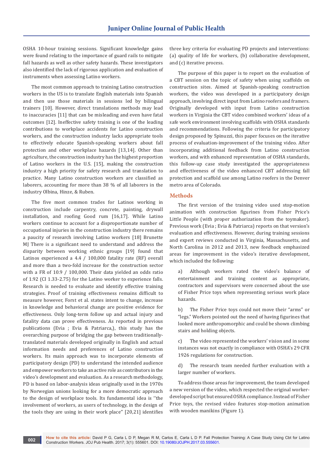OSHA 10-hour training sessions. Significant knowledge gains were found relating to the importance of guard rails to mitigate fall hazards as well as other safety hazards. These investigators also identified the lack of rigorous application and evaluation of instruments when assessing Latino workers.

The most common approach to training Latino construction workers in the US is to translate English materials into Spanish and then use those materials in sessions led by bilingual trainers [10]. However, direct translations methods may lead to inaccuracies [11] that can be misleading and even have fatal outcomes [12]. Ineffective safety training is one of the leading contributions to workplace accidents for Latino construction workers, and the construction industry lacks appropriate tools to effectively educate Spanish-speaking workers about fall protection and other workplace hazards [13,14]. Other than agriculture, the construction industry has the highest proportion of Latino workers in the U.S. [15], making the construction industry a high priority for safety research and translation to practice. Many Latino construction workers are classified as laborers, accounting for more than 38 % of all laborers in the industry Olbina, Hinze, & Ruben.

The five most common trades for Latinos working in construction include carpentry, concrete, painting, drywall installation, and roofing Good rum [16,17]. While Latino workers continue to account for a disproportionate number of occupational injuries in the construction industry there remains a paucity of research involving Latino workers [18] Brunette MJ There is a significant need to understand and address the disparity between working ethnic groups [19] found that Latinos experienced a 4.4 / 100,000 fatality rate (RF) overall and more than a two-fold increase for the construction sector with a FR of 10.9 / 100,000. Their data yielded an odds ratio of 1.92 (CI 1.33-2.75) for the Latino worker to experience falls. Research is needed to evaluate and identify effective training strategies. Proof of training effectiveness remains difficult to measure however, Forst et al. states intent to change, increase in knowledge and behavioral change are positive evidence for effectiveness. Only long-term follow up and actual injury and fatality data can prove effectiveness. As reported in previous publications (Evia ; Evia & Patriarca,), this study has the overarching purpose of bridging the gap between traditionallytranslated materials developed originally in English and actual information needs and preferences of Latino construction workers. Its main approach was to incorporate elements of participatory design (PD) to understand the intended audience and empower workers to take an active role as contributors in the video's development and evaluation. As a research methodology, PD is based on labor-analysis ideas originally used in the 1970s by Norwegian unions looking for a more democratic approach to the design of workplace tools. Its fundamental idea is ''the involvement of workers, as users of technology, in the design of the tools they are using in their work place'' [20,21] identifies

three key criteria for evaluating PD projects and interventions: (a) quality of life for workers, (b) collaborative development, and (c) iterative process.

The purpose of this paper is to report on the evaluation of a CBT session on the topic of safety when using scaffolds on construction sites. Aimed at Spanish-speaking construction workers, the video was developed in a participatory design approach, involving direct input from Latino roofers and framers. Originally developed with input from Latino construction workers in Virginia the CBT video combined workers' ideas of a safe work environment involving scaffolds with OSHA standards and recommendations. Following the criteria for participatory design proposed by Spinuzzi, this paper focuses on the iterative process of evaluation-improvement of the training video. After incorporating additional feedback from Latino construction workers, and with enhanced representation of OSHA standards, this follow-up case study investigated the appropriateness and effectiveness of the video enhanced CBT addressing fall protection and scaffold use among Latino roofers in the Denver metro area of Colorado.

#### **Methods**

The first version of the training video used stop-motion animation with construction figurines from Fisher Price's Little People (with proper authorization from the toymaker). Previous work (Evia ; Evia & Patriarca) reports on that version's evaluation and effectiveness. However, during training sessions and expert reviews conducted in Virginia, Massachusetts, and North Carolina in 2012 and 2013, new feedback emphasized areas for improvement in the video's iterative development, which included the following:

a) Although workers rated the video's balance of entertainment and training content as appropriate, contractors and supervisors were concerned about the use of Fisher Price toys when representing serious work place hazards.

b) The Fisher Price toys could not move their "arms" or "legs." Workers pointed out the need of having figurines that looked more anthropomorphic and could be shown climbing stairs and holding objects.

c) The video represented the workers' vision and in some instances was not exactly in compliance with OSHA's 29 CFR 1926 regulations for construction.

d) The research team needed further evaluation with a larger number of workers.

To address those areas for improvement, the team developed a new version of the video, which respected the original workerdeveloped script but ensured OSHA compliance. Instead of Fisher Price toys, the revised video features stop-motion animation with wooden manikins (Figure 1).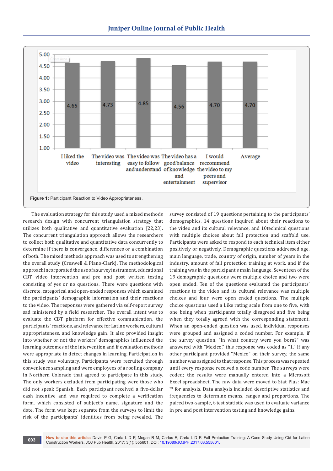



The evaluation strategy for this study used a mixed methods research design with concurrent triangulation strategy that utilizes both qualitative and quantitative evaluation [22,23]. The concurrent triangulation approach allows the researchers to collect both qualitative and quantitative data concurrently to determine if there is convergence, differences or a combination of both. The mixed methods approach was used to strengthening the overall study (Creswell & Plano-Clark). The methodological approach incorporated the use of a survey instrument, educational CBT video intervention and pre and post written testing consisting of yes or no questions. There were questions with discrete, categorical and open-ended responses which examined the participants' demographic information and their reactions to the video. The responses were gathered via self-report survey sad ministered by a field researcher. The overall intent was to evaluate the CBT platform for effective communication, the participants' reactions, and relevance for Latino workers, cultural appropriateness, and knowledge gain. It also provided insight into whether or not the workers' demographics influenced the learning outcomes of the intervention and if evaluation methods were appropriate to detect changes in learning. Participation in this study was voluntary. Participants were recruited through convenience sampling and were employees of a roofing company in Northern Colorado that agreed to participate in this study. The only workers excluded from participating were those who did not speak Spanish. Each participant received a five-dollar cash incentive and was required to complete a verification form, which consisted of subject's name, signature and the date. The form was kept separate from the surveys to limit the risk of the participants' identities from being revealed. The

survey consisted of 19 questions pertaining to the participants' demographics, 14 questions inquired about their reactions to the video and its cultural relevance, and 10technical questions with multiple choices about fall protection and scaffold use. Participants were asked to respond to each technical item either positively or negatively. Demographic questions addressed age, main language, trade, country of origin, number of years in the industry, amount of fall protection training at work, and if the training was in the participant's main language. Seventeen of the 19 demographic questions were multiple choice and two were open ended. Ten of the questions evaluated the participants' reactions to the video and its cultural relevance was multiple choices and four were open ended questions. The multiple choice questions used a Like rating scale from one to five, with one being when participants totally disagreed and five being when they totally agreed with the corresponding statement. When an open-ended question was used, individual responses were grouped and assigned a coded number. For example, if the survey question, "In what country were you born?" was answered with "Mexico," this response was coded as "1." If any other participant provided "Mexico" on their survey, the same number was assigned to that response. This process was repeated until every response received a code number. The surveys were coded; the results were manually entered into a Microsoft Excel spreadsheet. The raw data were moved to Stat Plus: Mac ™ for analysis. Data analysis included descriptive statistics and frequencies to determine means, ranges and proportions. The paired two-sample, t-test statistic was used to evaluate variance in pre and post intervention testing and knowledge gains.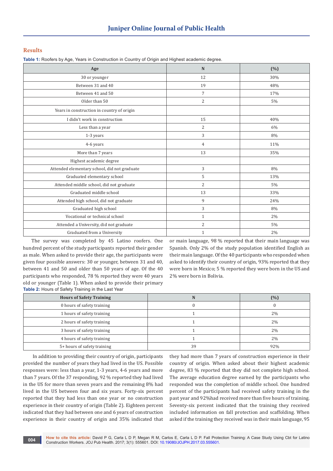#### **Results**

**Table 1:** Roofers by Age, Years in Construction in Country of Origin and Highest academic degree.

| Age                                          | N              | $(\% )$ |
|----------------------------------------------|----------------|---------|
| 30 or younger                                | 12             | 30%     |
| Between 31 and 40                            | 19             | 48%     |
| Between 41 and 50                            | $\overline{7}$ | 17%     |
| Older than 50                                | $\overline{2}$ | 5%      |
| Years in construction in country of origin   |                |         |
| I didn't work in construction                | 15             | 40%     |
| Less than a year                             | $\overline{2}$ | 6%      |
| 1-3 years                                    | 3              | 8%      |
| 4-6 years                                    | 4              | 11%     |
| More than 7 years                            | 13             | 35%     |
| Highest academic degree                      |                |         |
| Attended elementary school, did not graduate | 3              | 8%      |
| Graduated elementary school                  | 5              | 13%     |
| Attended middle school, did not graduate     | 2              | 5%      |
| Graduated middle school                      | 13             | 33%     |
| Attended high school, did not graduate       | 9              | 24%     |
| Graduated high school                        | 3              | 8%      |
| Vocational or technical school               | $\mathbf{1}$   | 2%      |
| Attended a University, did not graduate      | $\overline{2}$ | 5%      |
| Graduated from a University                  | 1              | 2%      |

The survey was completed by 45 Latino roofers. One hundred percent of the study participants reported their gender as male. When asked to provide their age, the participants were given four possible answers: 30 or younger, between 31 and 40, between 41 and 50 and older than 50 years of age. Of the 40 participants who responded, 78 % reported they were 40 years old or younger (Table 1). When asked to provide their primary **Table 2:** Hours of Safety Training in the Last Year

or main language, 98 % reported that their main language was Spanish. Only 2% of the study population identified English as their main language. Of the 40 participants who responded when asked to identify their country of origin, 93% reported that they were born in Mexico; 5 % reported they were born in the US and 2% were born in Bolivia.

| <b>Hours of Safety Training</b> | N  | (%)   |
|---------------------------------|----|-------|
| 0 hours of safety training      |    |       |
| 1 hours of safety training      |    | 2%    |
| 2 hours of safety training      |    | $2\%$ |
| 3 hours of safety training      |    | $2\%$ |
| 4 hours of safety training      |    | $2\%$ |
| 5+ hours of safety training     | 39 | 92%   |

 In addition to providing their country of origin, participants provided the number of years they had lived in the US. Possible responses were: less than a year, 1-3 years, 4-6 years and more than 7 years. Of the 37 responding, 92 % reported they had lived in the US for more than seven years and the remaining 8% had lived in the US between four and six years. Forty-six percent reported that they had less than one year or no construction experience in their country of origin (Table 2). Eighteen percent indicated that they had between one and 6 years of construction experience in their country of origin and 35% indicated that they had more than 7 years of construction experience in their country of origin. When asked about their highest academic degree, 83 % reported that they did not complete high school. The average education degree earned by the participants who responded was the completion of middle school. One hundred percent of the participants had received safety training in the past year and 92%had received more than five hours of training. Seventy-six percent indicated that the training they received included information on fall protection and scaffolding. When asked if the training they received was in their main language, 95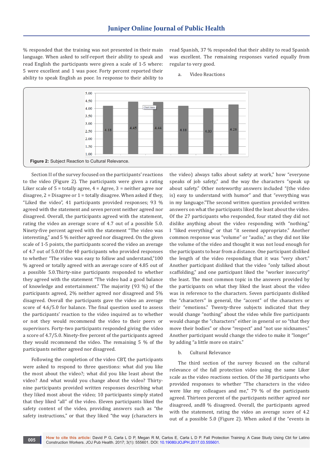% responded that the training was not presented in their main language. When asked to self-report their ability to speak and read English the participants were given a scale of 1-5 where: 5 were excellent and 1 was poor. Forty percent reported their ability to speak English as poor. In response to their ability to

read Spanish, 37 % responded that their ability to read Spanish was excellent. The remaining responses varied equally from regular to very good.

a. Video Reactions



Section II of the survey focused on the participants' reactions to the video (Figure 2). The participants were given a rating Liker scale of  $5 =$  totally agree,  $4 =$  Agree,  $3 =$  neither agree nor disagree,  $2 = Disagree$  or  $1 = totally disagree$ . When asked if they, "Liked the video", 41 participants provided responses; 93 % agreed with the statement and seven percent neither agreed nor disagreed. Overall, the participants agreed with the statement, rating the video an average score of 4.7 out of a possible 5.0. Ninety-five percent agreed with the statement "The video was interesting," and 5 % neither agreed nor disagreed. On the given scale of 1-5 points, the participants scored the video an average of 4.7 out of 5.0.Of the 40 participants who provided responses to whether "The video was easy to follow and understand,"100 % agreed or totally agreed with an average score of 4.85 out of a possible 5.0.Thirty-nine participants responded to whether they agreed with the statement "The video had a good balance of knowledge and entertainment." The majority (93 %) of the participants agreed, 2% neither agreed nor disagreed and 5% disagreed. Overall the participants gave the video an average score of 4.6/5.0 for balance. The final question used to assess the participants' reaction to the video inquired as to whether or not they would recommend the video to their peers or supervisors. Forty-two participants responded giving the video a score of 4.7/5.0. Ninety-five percent of the participants agreed they would recommend the video. The remaining 5 % of the participants neither agreed nor disagreed.

Following the completion of the video CBT, the participants were asked to respond to three questions: what did you like the most about the video?; what did you like least about the video? And what would you change about the video? Thirtynine participants provided written responses describing what they liked most about the video; 10 participants simply stated that they liked "all" of the video. Eleven participants liked the safety content of the video, providing answers such as "the safety instructions," or that they liked "the way (characters in

the video) always talks about safety at work," how "everyone speaks of job safety," and the way the characters "speak up about safety." Other noteworthy answers included "(the video is) easy to understand with humor" and that "everything was in my language."The second written question provided written answers on what the participants liked the least about the video. Of the 27 participants who responded, four stated they did not dislike anything about the video responding with "nothing," I "liked everything" or that "it seemed appropriate." Another common response was "volume" or "audio," as they did not like the volume of the video and thought it was not loud enough for the participants to hear from a distance. One participant disliked the length of the video responding that it was "very short." Another participant disliked that the video "only talked about scaffolding," and one participant liked the "worker insecurity" the least. The most common topic in the answers provided by the participants on what they liked the least about the video was in reference to the characters. Seven participants disliked the "characters" in general, the "accent" of the characters or their "emotions." Twenty-three subjects indicated that they would change "nothing" about the video while five participants would change the "characters" either in general or so "that they move their bodies" or show "respect" and "not use nicknames." Another participant would change the video to make it "longer" by adding "a little more on stairs."

#### b. Cultural Relevance

The third section of the survey focused on the cultural relevance of the fall protection video using the same Liker scale as the video reactions section. Of the 38 participants who provided responses to whether "The characters in the video were like my colleagues and me," 79 % of the participants agreed. Thirteen percent of the participants neither agreed nor disagreed, and8 % disagreed. Overall, the participants agreed with the statement, rating the video an average score of 4.2 out of a possible 5.0 (Figure 2). When asked if the "events in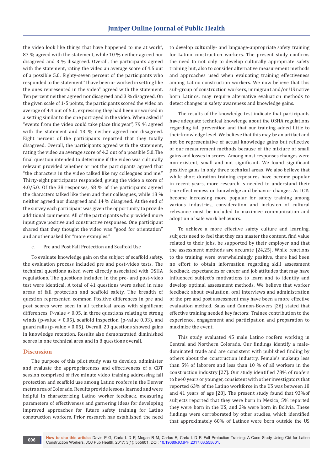the video look like things that have happened to me at work", 87 % agreed with the statement, while 10 % neither agreed nor disagreed and 3 % disagreed. Overall, the participants agreed with the statement, rating the video an average score of 4.5 out of a possible 5.0. Eighty-seven percent of the participants who responded to the statement "I have been or worked in setting like the ones represented in the video" agreed with the statement. Ten percent neither agreed nor disagreed and 3 % disagreed. On the given scale of 1-5 points, the participants scored the video an average of 4.4 out of 5.0, expressing they had been or worked in a setting similar to the one portrayed in the video. When asked if "events from the video could take place this year", 79 % agreed with the statement and 13 % neither agreed nor disagreed. Eight percent of the participants reported that they totally disagreed. Overall, the participants agreed with the statement, rating the video an average score of 4.2 out of a possible 5.0.The final question intended to determine if the video was culturally relevant provided whether or not the participants agreed that "the characters in the video talked like my colleagues and me." Thirty-eight participants responded, giving the video a score of 4.0/5.0. Of the 38 responses, 68 % of the participants agreed the characters talked like them and their colleagues, while 18 % neither agreed nor disagreed and 14 % disagreed. At the end of the survey each participant was given the opportunity to provide additional comments. All of the participants who provided more input gave positive and constructive responses. One participant shared that they thought the video was "good for orientation" and another asked for "more examples."

c. Pre and Post Fall Protection and Scaffold Use

To evaluate knowledge gain on the subject of scaffold safety, the evaluation process included pre and post-video tests. The technical questions asked were directly associated with OSHA regulations. The questions included in the pre- and post-video test were identical. A total of 41 questions were asked in nine areas of fall protection and scaffold safety. The breadth of question represented common Positive differences in pre and post scores were seen in all technical areas with significant differences, P-value < 0.05, in three questions relating to strong winds (p-value < 0.05), scaffold inspection (p-value 0.03), and guard rails (p-value < 0.05). Overall, 20 questions showed gains in knowledge retention. Results also demonstrated diminished scores in one technical area and in 8 questions overall.

#### **Discussion**

The purpose of this pilot study was to develop, administer and evaluate the appropriateness and effectiveness of a CBT session comprised of five minute video training addressing fall protection and scaffold use among Latino roofers in the Denver metro area of Colorado. Results provide lessons learned and were helpful in characterizing Latino worker feedback, measuring parameters of effectiveness and garnering ideas for developing improved approaches for future safety training for Latino construction workers. Prior research has established the need

to develop culturally- and language-appropriate safety training for Latino construction workers. The present study confirms the need to not only to develop culturally appropriate safety training but, also to consider alternative measurement methods and approaches used when evaluating training effectiveness among Latino construction workers. We now believe that this sub-group of construction workers, immigrant and/or US native born Latinos, may require alternative evaluation methods to detect changes in safety awareness and knowledge gains.

The results of the knowledge test indicate that participants have adequate technical knowledge about the OSHA regulations regarding fall prevention and that our training added little to their knowledge level. We believe that this may be an artifact and not be representative of actual knowledge gains but reflective of our measurement methods because of the mixture of small gains and losses in scores. Among most responses changes were non-existent, small and not significant. We found significant positive gains in only three technical areas. We also believe that while short duration training exposures have become popular in recent years, more research is needed to understand their true effectiveness on knowledge and behavior changes. As ICTs become increasing more popular for safety training among various industries, consideration and inclusion of cultural relevance must be included to maximize communication and adoption of safe work behaviors.

To achieve a more effective safety culture and learning, subjects need to feel that they can master the content, find value related to their jobs, be supported by their employer and that the assessment methods are accurate [24,25]. While reactions to the training were overwhelmingly positive, there had been no effort to obtain information regarding skill assessment feedback, expectancies or career and job attitudes that may have influenced subject's motivations to learn and to identify and develop optimal assessment methods. We believe that worker feedback about evaluation, oral interviews and administration of the pre and post assessment may have been a more effective evaluation method. Salas and Cannon-Bowers [26] stated that effective training needed key factors: Trainee contribution to the experience, engagement and participation and preparation to maximize the event.

This study evaluated 45 male Latino roofers working in Central and Northern Colorado. Our findings identify a maledominated trade and are consistent with published finding by others about the construction industry. Female's makeup less than 5% of laborers and less than 10 % of all workers in the construction industry [27]. Our study identified 78% of roofers to be40 years or younger, consistent with other investigators that reported 63% of the Latino workforce in the US was between 18 and 41 years of age [28]. The present study found that 93%of subjects reported that they were born in Mexico, 5% reported they were born in the US, and 2% were born in Bolivia. These findings were corroborated by other studies, which identified that approximately 60% of Latinos were born outside the US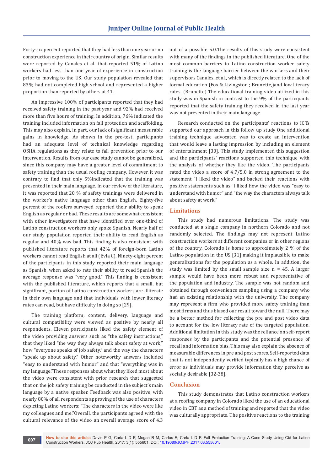Forty-six percent reported that they had less than one year or no construction experience in their country of origin. Similar results were reported by Canales et al. that reported 51% of Latino workers had less than one year of experience in construction prior to moving to the US. Our study population revealed that 83% had not completed high school and represented a higher proportion than reported by others at 41.

An impressive 100% of participants reported that they had received safety training in the past year and 92% had received more than five hours of training. In addition, 76% indicated the training included information on fall protection and scaffolding. This may also explain, in part, our lack of significant measurable gains in knowledge. As shown in the pre-test, participants had an adequate level of technical knowledge regarding OSHA regulations as they relate to fall prevention prior to our intervention. Results from our case study cannot be generalized, since this company may have a greater level of commitment to safety training than the usual roofing company. However, it was contrary to find that only 5%indicated that the training was presented in their main language. In our review of the literature, it was reported that 20 % of safety trainings were delivered in the worker's native language other than English. Eighty-five percent of the roofers surveyed reported their ability to speak English as regular or bad. These results are somewhat consistent with other investigators that have identified over one-third of Latino construction workers only spoke Spanish. Nearly half of our study population reported their ability to read English as regular and 40% was bad. This finding is also consistent with published literature reports that 42% of foreign-born Latino workers cannot read English at all (Evia C). Ninety-eight percent of the participants in this study reported their main language as Spanish, when asked to rate their ability to read Spanish the average response was "very good." This finding is consistent with the published literature, which reports that a small, but significant, portion of Latino construction workers are illiterate in their own language and that individuals with lower literacy rates can read, but have difficulty in doing so [29].

The training platform, content, delivery, language and cultural compatibility were viewed as positive by nearly all respondents. Eleven participants liked the safety element of the video providing answers such as "the safety instructions," that they liked "the way they always talk about safety at work," how "everyone speaks of job safety," and the way the characters "speak up about safety." Other noteworthy answers included "easy to understand with humor" and that "everything was in my language."These responses about what they liked most about the video were consistent with prior research that suggested that on the job safety training be conducted in the subject's main language by a native speaker. Feedback was also positive, with nearly 80% of all respondents approving of the use of characters depicting Latino workers; "The characters in the video were like my colleagues and me."Overall, the participants agreed with the cultural relevance of the video an overall average score of 4.3

out of a possible 5.0.The results of this study were consistent with many of the findings in the published literature. One of the most common barriers to Latino construction worker safety training is the language barrier between the workers and their supervisors Canales, et al., which is directly related to the lack of formal education (Fox & Livingston ; Brunette,)and low literacy rates. (Brunette) The educational training video utilized in this study was in Spanish in contrast to the 9% of the participants reported that the safety training they received in the last year was not presented in their main language.

Research conducted on the participants' reactions to ICTs supported our approach in this follow up study One additional training technique advocated was to create an intervention that would leave a lasting impression by including an element of entertainment [30]. This study implemented this suggestion and the participants' reactions supported this technique with the analysis of whether they like the video. The participants rated the video a score of 4.7/5.0 in strong agreement to the statement "I liked the video" and backed their reactions with positive statements such as: I liked how the video was "easy to understand with humor" and "the way the characters always talk about safety at work."

#### **Limitations**

This study had numerous limitations. The study was conducted at a single company in northern Colorado and not randomly selected. The findings may not represent Latino construction workers at different companies or in other regions of the country. Colorado is home to approximately 2 % of the Latino population in the US [31] making it implausible to make generalizations for the population as a whole. In addition, the study was limited by the small sample size  $n = 45$ . A larger sample would have been more robust and representative of the population and industry. The sample was not random and obtained through convenience sampling using a company who had an existing relationship with the university. The company may represent a firm who provided more safety training than most firms and thus biased our result toward the null. There may be a better method for collecting the pre and post video data to account for the low literacy rate of the targeted population. Additional limitation in this study was the reliance on self-report responses by the participants and the potential presence of recall and information bias. This may also explain the absence of measurable differences in pre and post scores. Self-reported data that is not independently verified typically has a high chance of error as individuals may provide information they perceive as socially desirable [32-38].

#### **Conclusion**

This study demonstrates that Latino construction workers at a roofing company in Colorado liked the use of an educational video in CBT as a method of training and reported that the video was culturally appropriate. The positive reactions to the training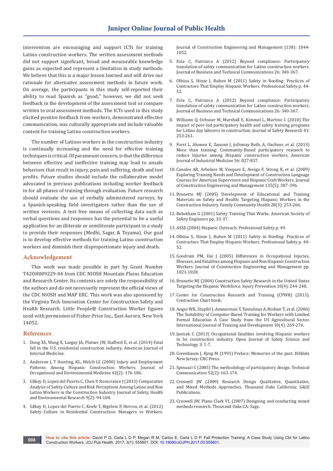intervention are encouraging and support ICTs for training Latino construction workers. The written assessment methods did not support significant, broad and measurable knowledge gains as expected and represent a limitation in study methods. We believe that this is a major lesson learned and will drive our rationale for alternative assessment methods in future work. On average, the participants in this study self-reported their ability to read Spanish as "good;" however, we did not seek feedback in the development of the assessment tool or compare written to oral assessment methods. The ICTs used in this study elicited positive feedback from workers, demonstrated effective communication, was culturally appropriate and include valuable content for training Latino construction workers.

The number of Latinos workers in the construction industry is continually increasing and the need for effective training techniques is critical. Of paramount concern, is that the difference between effective and ineffective training may lead to unsafe behaviors that result in injury, pain and suffering, death and lost profits. Future studies should include the collaborative model advocated in previous publications including worker feedback in for all phases of training through evaluation. Future research should evaluate the use of verbally administered surveys, by a Spanish-speaking field investigators rather than the use of written versions. A text free means of collecting data such as verbal questions and responses has the potential to be a useful application for an illiterate or semiliterate participant in a study to provide their responses (Medhi, Sagar, & Toyama). Our goal is to develop effective methods for training Latino construction workers and diminish their disproportionate injury and death.

#### **Acknowledgement**

This work was made possible in part by Grant Number T42OH009229-04 from CDC NIOSH Mountain Plains Education and Research Center. Its contents are solely the responsibility of the authors and do not necessarily represent the official views of the CDC NIOSH and MAP ERC. This work was also sponsored by the Virginia Tech Innovation Center for Construction Safety and Health Research. Little People® Construction Worker figures used with permission of Fisher-Price Inc., East Aurora, New York 14052.

#### **References**

- 1. [Dong XS, Wang X, Largay JA, Platner JW, Stafford E, et al. \(2014\) Fatal](https://www.ncbi.nlm.nih.gov/pubmed/24890625)  [fall in the U.S. residential construction industry. American Journal of](https://www.ncbi.nlm.nih.gov/pubmed/24890625)  [Internal Medicine.](https://www.ncbi.nlm.nih.gov/pubmed/24890625)
- 2. [Anderson J, T Hunting, KL, Welch LS \(2000\) Injury and Employment](https://www.ncbi.nlm.nih.gov/pubmed/10693079)  [Patterns Among Hispanic Construction Workers. Journal of](https://www.ncbi.nlm.nih.gov/pubmed/10693079)  [Occupational and Environmental Medicine 42\(2\): 176-186.](https://www.ncbi.nlm.nih.gov/pubmed/10693079)
- 3. [Gilkey D, Lopez del Puerto C, Chen P, Rosecrance J \(2013\) Comparative](https://www.researchgate.net/publication/263964604_)  [Analysis of Safety Culture and Risk Perceptions Among Latino and Non](https://www.researchgate.net/publication/263964604_)  [Latino Workers in the Construction Industry. Journal of Safety, Health](https://www.researchgate.net/publication/263964604_)  [and Environmental Research 9\(2\): 94-104.](https://www.researchgate.net/publication/263964604_)
- 4. [Gilkey D, Lopez del Puerto C, Keefe T, Bigelow P, Herron, et al. \(2012\)](https://www.researchgate.net/publication/233727507_Comparative_Analysis_of_Safety_Culture_Perceptions_Among_HomeSafe_Managers_and_Workers_in_Residential_Construction)  [Safety Culture in Residential Construction: Managers vs Workers.](https://www.researchgate.net/publication/233727507_Comparative_Analysis_of_Safety_Culture_Perceptions_Among_HomeSafe_Managers_and_Workers_in_Residential_Construction)

[Journal of Construction Engineering and Management \(138\): 1044-](https://www.researchgate.net/publication/233727507_Comparative_Analysis_of_Safety_Culture_Perceptions_Among_HomeSafe_Managers_and_Workers_in_Residential_Construction) [1052.](https://www.researchgate.net/publication/233727507_Comparative_Analysis_of_Safety_Culture_Perceptions_Among_HomeSafe_Managers_and_Workers_in_Residential_Construction)

- 5. [Evia C, Patriarca A \(2012\) Beyond compliance: Participatory](http://citeseerx.ist.psu.edu/viewdoc/download?doi=10.1.1.895.3546&rep=rep1&type=pdf)  [translation of safety communication for Latino construction workers.](http://citeseerx.ist.psu.edu/viewdoc/download?doi=10.1.1.895.3546&rep=rep1&type=pdf)  [Journal of Business and Technical Communications 26: 340-367.](http://citeseerx.ist.psu.edu/viewdoc/download?doi=10.1.1.895.3546&rep=rep1&type=pdf)
- 6. [Olbina S, Hinze J, Ruben M \(2011\) Safety in Roofing: Practices of](http://www.abve.net/Assets/Roofer_article_Profes_Safety_full%20article.pdf)  [Contractors That Employ Hispanic Workers. Professional Safety p. 44-](http://www.abve.net/Assets/Roofer_article_Profes_Safety_full%20article.pdf) [52.](http://www.abve.net/Assets/Roofer_article_Profes_Safety_full%20article.pdf)
- 7. [Evia C, Patriarca A \(2012\) Beyond compliance: Participatory](http://citeseerx.ist.psu.edu/viewdoc/download?doi=10.1.1.895.3546&rep=rep1&type=pdf)  [translation of safety communication for Latino construction workers.](http://citeseerx.ist.psu.edu/viewdoc/download?doi=10.1.1.895.3546&rep=rep1&type=pdf)  [Journal of Business and Technical Communications 26: 340-367.](http://citeseerx.ist.psu.edu/viewdoc/download?doi=10.1.1.895.3546&rep=rep1&type=pdf)
- 8. [Williams Q, Ochsner M, Marshall E, Kimmel L, Martino C \(2010\) The](https://www.ncbi.nlm.nih.gov/pubmed/20630277)  [impact of peer-led participatory health and safety training programs](https://www.ncbi.nlm.nih.gov/pubmed/20630277)  [for Latino day laborers in construction. Journal of Safety Research 41:](https://www.ncbi.nlm.nih.gov/pubmed/20630277)  [253-261.](https://www.ncbi.nlm.nih.gov/pubmed/20630277)
- 9. [Forst L, Ahonen E, Zanomi J, Jolloway Beth, A, Oachner, et al. \(2013\)](https://www.ncbi.nlm.nih.gov/pubmed/23533016)  [More than training: Community-Based participatory research to](https://www.ncbi.nlm.nih.gov/pubmed/23533016)  [reduce injuries among Hispanic construction workers. American](https://www.ncbi.nlm.nih.gov/pubmed/23533016)  [Journal of Industrial Medicine 56: 827-837.](https://www.ncbi.nlm.nih.gov/pubmed/23533016)
- 10. [Canales AR, Arbelaez M, Vasquez E, Aveiga F, Strong K, et al. \(2009\)](https://scholar.google.com/citations?user=cPhbR9wAAAAJ&hl=ja)  [Exploring Training Needs and Development of Construction Language](https://scholar.google.com/citations?user=cPhbR9wAAAAJ&hl=ja)  [Courses for American Supervisors and Hispanic Craft Workers. Journal](https://scholar.google.com/citations?user=cPhbR9wAAAAJ&hl=ja)  [of Construciton Engineering and Management 135\(5\): 387-396.](https://scholar.google.com/citations?user=cPhbR9wAAAAJ&hl=ja)
- 11. [Brunette MJ \(2005\) Development of Educational and Training](https://www.ncbi.nlm.nih.gov/pubmed/15958883)  [Materials on Safety and Health: Targeting Hispanic Workers in the](https://www.ncbi.nlm.nih.gov/pubmed/15958883)  [Construction Industry. Family Community Health 28\(3\): 253-266.](https://www.ncbi.nlm.nih.gov/pubmed/15958883)
- 12. Robotham G (2001) Safety Training That Works. American Society of Safety Engineers pp. 33-37.
- 13. ASSE (2004) Hispanic Outreach. Professional Safety p. 49.
- 14. [Olbina S, Hinze J, Ruben M \(2011\) Safety in Roofing: Practices of](http://www.abve.net/Assets/Roofer_article_Profes_Safety_full%20article.pdf)  [Contractors That Employ Hispanic Workers. Professional Safety p. 44-](http://www.abve.net/Assets/Roofer_article_Profes_Safety_full%20article.pdf) [52.](http://www.abve.net/Assets/Roofer_article_Profes_Safety_full%20article.pdf)
- 15. [Goodrum PM, Dai J \(2005\) Differences in Occupational Injuries,](http://www.scirp.org/(S(oyulxb452alnt1aej1nfow45))/reference/ReferencesPapers.aspx?ReferenceID=753445)  [Illnesses, and Fatalities among Hispanic and Non Hispanic Construction](http://www.scirp.org/(S(oyulxb452alnt1aej1nfow45))/reference/ReferencesPapers.aspx?ReferenceID=753445)  [Workers. Journal of Construction Engineering and Management pp.](http://www.scirp.org/(S(oyulxb452alnt1aej1nfow45))/reference/ReferencesPapers.aspx?ReferenceID=753445)  [1021-1028.](http://www.scirp.org/(S(oyulxb452alnt1aej1nfow45))/reference/ReferencesPapers.aspx?ReferenceID=753445)
- 16. [Brunette MJ \(2004\) Construction Safety Research in the United States](https://www.ncbi.nlm.nih.gov/pubmed/15314054)  [Targeting the Hispanic Workforce. Injury Prevention 10\(4\): 244-248.](https://www.ncbi.nlm.nih.gov/pubmed/15314054)
- 17. Center for Construction Research and Training (CPWR) (2013). Contraction Chart book.
- 18. [Anger WK, Stupfel J, Ammerman T, Tamulinas A, Bodner T, et al. \(2006\)](https://papers.ssrn.com/sol3/papers.cfm?abstract_id=947001)  [The Suitability of Computer-Based Training for Workers with Limited](https://papers.ssrn.com/sol3/papers.cfm?abstract_id=947001)  [Formal Education A Case Study from the US Agricultural Sector.](https://papers.ssrn.com/sol3/papers.cfm?abstract_id=947001)  [International Journal of Training and Development 10\(4\): 269-276.](https://papers.ssrn.com/sol3/papers.cfm?abstract_id=947001)
- 19. [Janicak C \(2013\) Occupational fatalities involving Hispanic workers](https://www.scirp.org/journal/PaperInformation.aspx?PaperID=29135)  [in he construction industry. Open Journal of Safety Science and](https://www.scirp.org/journal/PaperInformation.aspx?PaperID=29135)  [Technology 3: 1-7.](https://www.scirp.org/journal/PaperInformation.aspx?PaperID=29135)
- 20. [Greenbaum J, Kyng M \(1991\) Preface: Memories of the past. Hilldale](https://www.crcpress.com/Design-at-Work-Cooperative-Design-of-Computer-Systems/Greenbaum-Kyng/p/book/9780805806120)  [New Jersey: CRC Press.](https://www.crcpress.com/Design-at-Work-Cooperative-Design-of-Computer-Systems/Greenbaum-Kyng/p/book/9780805806120)
- 21. [Spinuzzi C \(2005\) The methodology of participatory design. Technical](https://repositories.lib.utexas.edu/bitstream/handle/2152/28277/SpinuzziTheMethodologyOfParticipatoryDesign.pdf)  [Communication 52\(2\): 163-174.](https://repositories.lib.utexas.edu/bitstream/handle/2152/28277/SpinuzziTheMethodologyOfParticipatoryDesign.pdf)
- 22. [Creswell JW \(2009\) Research Design Qualitative, Quantitative,](https://archive.org/details/JohnW.CreswellResearchDesignQualitativeQuantitativeAndMixedMethodsApproachesSAGEPublicationsInc2009)  [and Mixed Methods Approaches. Thousand Oaks California: SAGE](https://archive.org/details/JohnW.CreswellResearchDesignQualitativeQuantitativeAndMixedMethodsApproachesSAGEPublicationsInc2009)  [Publications.](https://archive.org/details/JohnW.CreswellResearchDesignQualitativeQuantitativeAndMixedMethodsApproachesSAGEPublicationsInc2009)
- 23. [Creswell JW, Plano Clark VL \(2007\) Designing and conducting mixed](http://onlinelibrary.wiley.com/doi/10.1111/j.1753-6405.2007.00096.x/pdf)  [methods research. Thousand Oaks CA: Sage.](http://onlinelibrary.wiley.com/doi/10.1111/j.1753-6405.2007.00096.x/pdf)